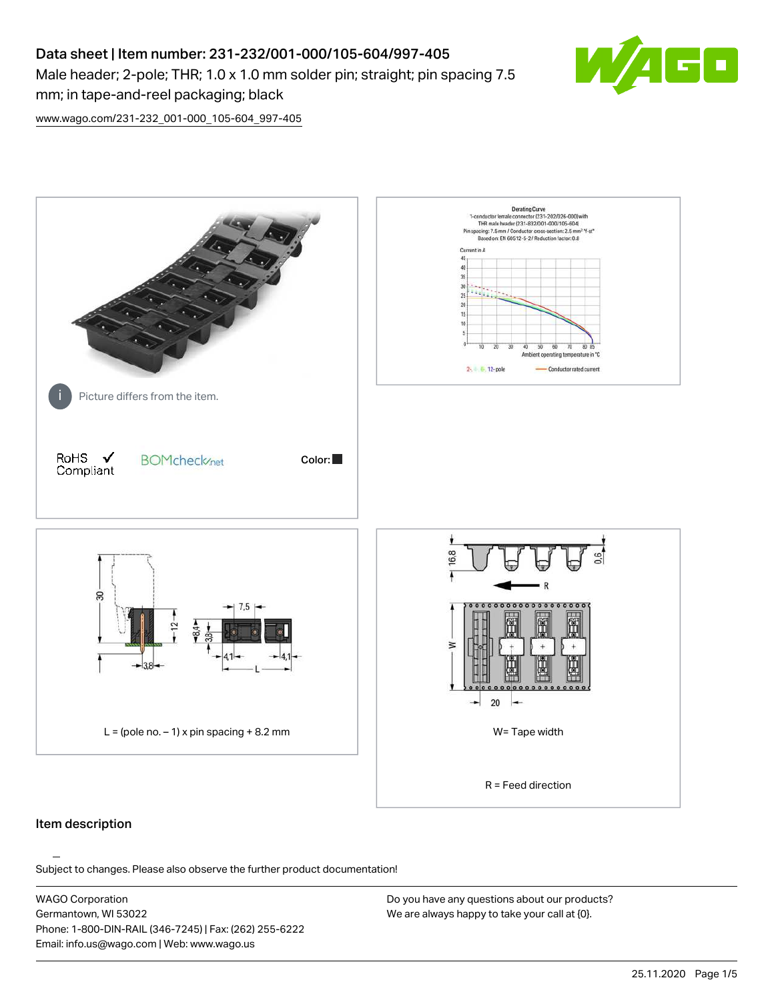# Data sheet | Item number: 231-232/001-000/105-604/997-405 Male header; 2-pole; THR; 1.0 x 1.0 mm solder pin; straight; pin spacing 7.5 mm; in tape-and-reel packaging; black



[www.wago.com/231-232\\_001-000\\_105-604\\_997-405](http://www.wago.com/231-232_001-000_105-604_997-405)



#### Item description

Subject to changes. Please also observe the further product documentation!

WAGO Corporation Germantown, WI 53022 Phone: 1-800-DIN-RAIL (346-7245) | Fax: (262) 255-6222 Email: info.us@wago.com | Web: www.wago.us

Do you have any questions about our products? We are always happy to take your call at {0}.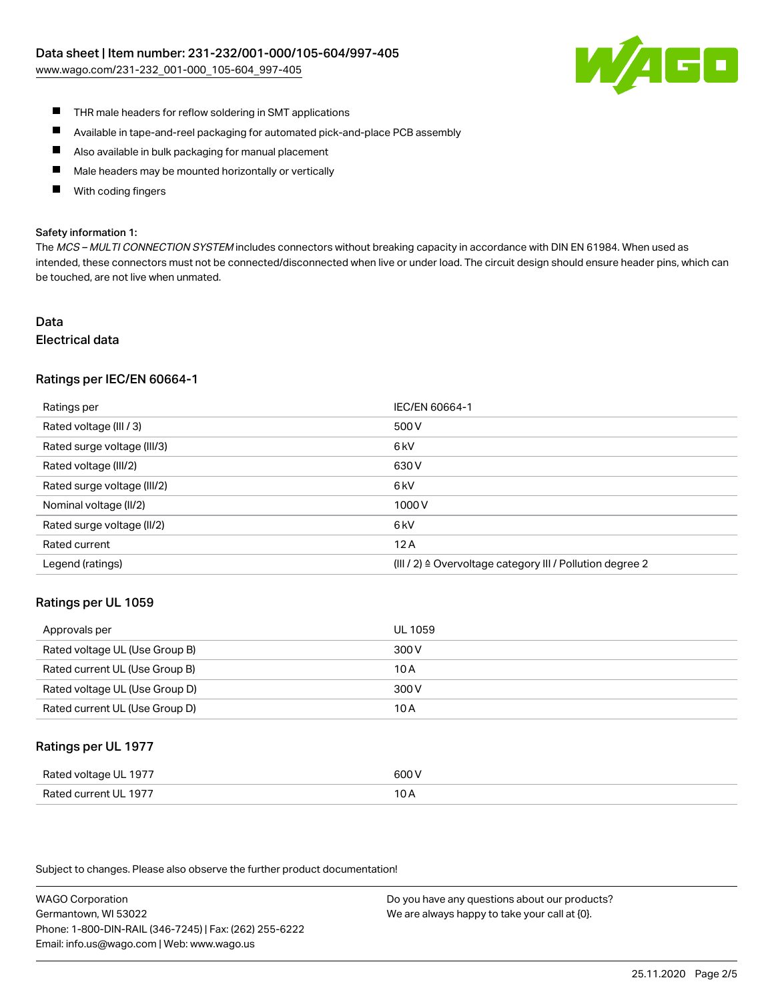[www.wago.com/231-232\\_001-000\\_105-604\\_997-405](http://www.wago.com/231-232_001-000_105-604_997-405)



- $\blacksquare$ THR male headers for reflow soldering in SMT applications
- $\blacksquare$ Available in tape-and-reel packaging for automated pick-and-place PCB assembly
- $\blacksquare$ Also available in bulk packaging for manual placement
- П Male headers may be mounted horizontally or vertically
- П With coding fingers

#### Safety information 1:

The MCS - MULTI CONNECTION SYSTEM includes connectors without breaking capacity in accordance with DIN EN 61984. When used as intended, these connectors must not be connected/disconnected when live or under load. The circuit design should ensure header pins, which can be touched, are not live when unmated.

#### Data Electrical data

#### Ratings per IEC/EN 60664-1

| Ratings per                 | IEC/EN 60664-1                                                       |
|-----------------------------|----------------------------------------------------------------------|
| Rated voltage (III / 3)     | 500 V                                                                |
| Rated surge voltage (III/3) | 6 <sub>kV</sub>                                                      |
| Rated voltage (III/2)       | 630 V                                                                |
| Rated surge voltage (III/2) | 6 <sub>kV</sub>                                                      |
| Nominal voltage (II/2)      | 1000V                                                                |
| Rated surge voltage (II/2)  | 6 <sub>kV</sub>                                                      |
| Rated current               | 12A                                                                  |
| Legend (ratings)            | (III / 2) $\triangleq$ Overvoltage category III / Pollution degree 2 |

#### Ratings per UL 1059

| Approvals per                  | UL 1059 |
|--------------------------------|---------|
| Rated voltage UL (Use Group B) | 300 V   |
| Rated current UL (Use Group B) | 10 A    |
| Rated voltage UL (Use Group D) | 300 V   |
| Rated current UL (Use Group D) | 10 A    |

#### Ratings per UL 1977

| Rated voltage UL 1977    | coo V |
|--------------------------|-------|
| Current UL 1977<br>Rated | IUF   |

Subject to changes. Please also observe the further product documentation!

WAGO Corporation Germantown, WI 53022 Phone: 1-800-DIN-RAIL (346-7245) | Fax: (262) 255-6222 Email: info.us@wago.com | Web: www.wago.us

Do you have any questions about our products? We are always happy to take your call at {0}.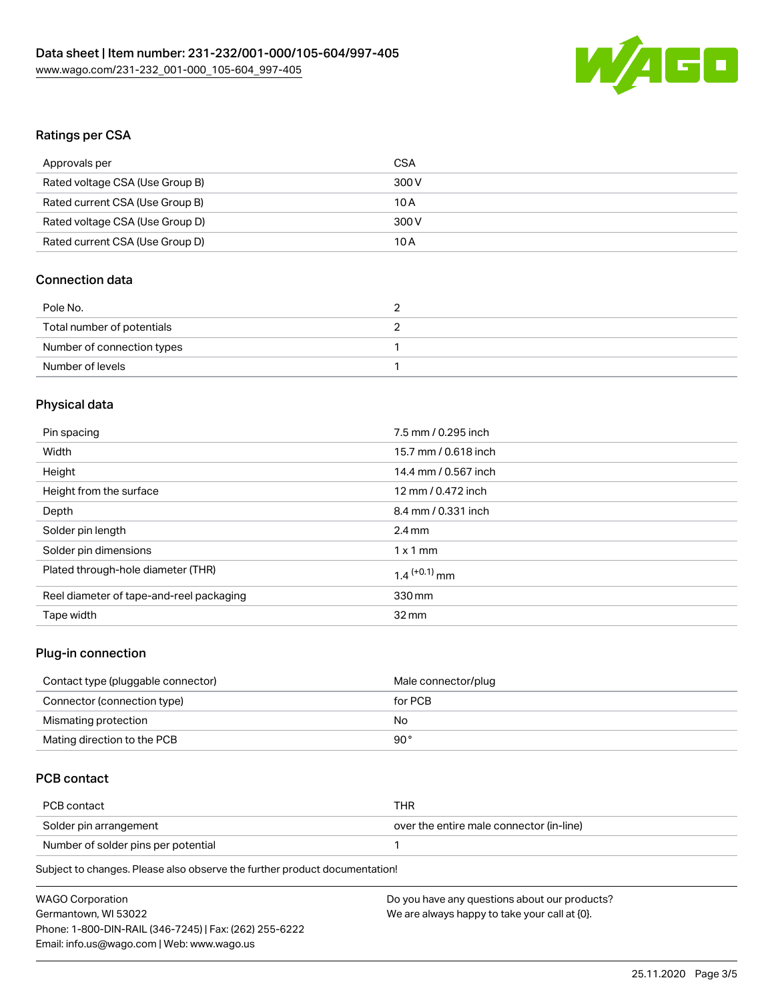

# Ratings per CSA

| Approvals per                   | CSA   |
|---------------------------------|-------|
| Rated voltage CSA (Use Group B) | 300 V |
| Rated current CSA (Use Group B) | 10 A  |
| Rated voltage CSA (Use Group D) | 300 V |
| Rated current CSA (Use Group D) | 10 A  |

# Connection data

| Pole No.                   |  |
|----------------------------|--|
| Total number of potentials |  |
| Number of connection types |  |
| Number of levels           |  |

# Physical data

| Pin spacing                              | 7.5 mm / 0.295 inch        |
|------------------------------------------|----------------------------|
| Width                                    | 15.7 mm / 0.618 inch       |
| Height                                   | 14.4 mm / 0.567 inch       |
| Height from the surface                  | 12 mm / 0.472 inch         |
| Depth                                    | 8.4 mm / 0.331 inch        |
| Solder pin length                        | $2.4 \text{ mm}$           |
| Solder pin dimensions                    | $1 \times 1$ mm            |
| Plated through-hole diameter (THR)       | $1.4$ <sup>(+0.1)</sup> mm |
| Reel diameter of tape-and-reel packaging | 330 mm                     |
| Tape width                               | $32 \,\mathrm{mm}$         |
|                                          |                            |

# Plug-in connection

| Contact type (pluggable connector) | Male connector/plug |
|------------------------------------|---------------------|
| Connector (connection type)        | for PCB             |
| Mismating protection               | No                  |
| Mating direction to the PCB        | 90°                 |

# PCB contact

| PCB contact                         | THR                                      |
|-------------------------------------|------------------------------------------|
| Solder pin arrangement              | over the entire male connector (in-line) |
| Number of solder pins per potential |                                          |
|                                     |                                          |

Subject to changes. Please also observe the further product documentation!

| <b>WAGO Corporation</b>                                | Do you have any questions about our products? |
|--------------------------------------------------------|-----------------------------------------------|
| Germantown, WI 53022                                   | We are always happy to take your call at {0}. |
| Phone: 1-800-DIN-RAIL (346-7245)   Fax: (262) 255-6222 |                                               |
| Email: info.us@wago.com   Web: www.wago.us             |                                               |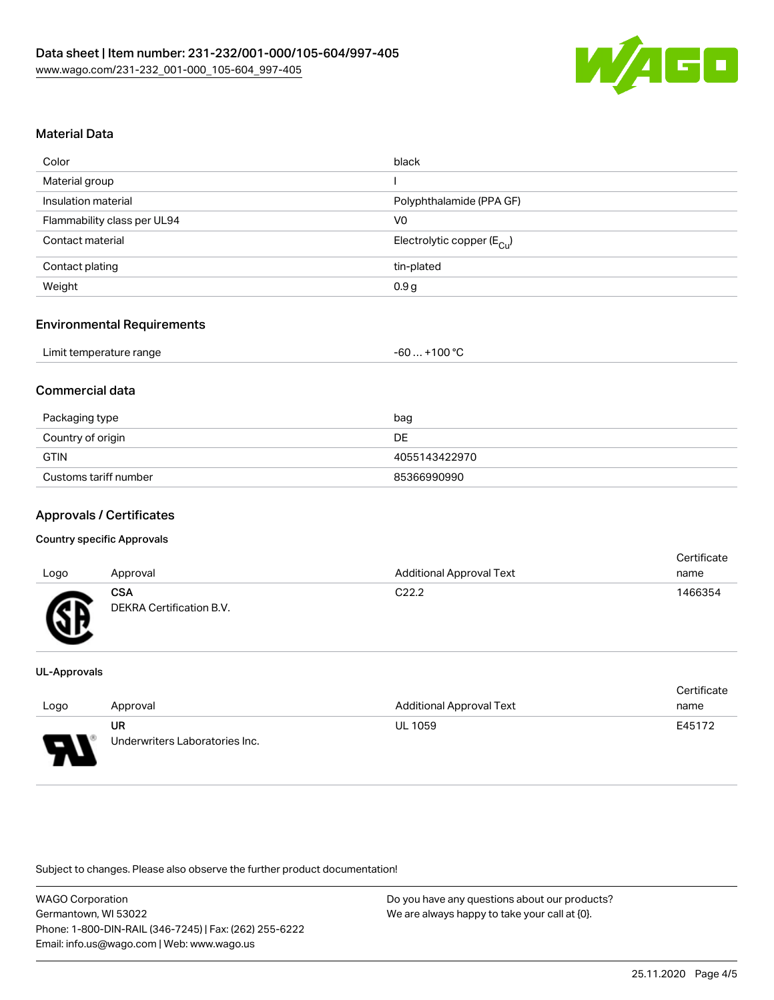

# Material Data

| Color                       | black                                 |
|-----------------------------|---------------------------------------|
| Material group              |                                       |
| Insulation material         | Polyphthalamide (PPA GF)              |
| Flammability class per UL94 | V <sub>0</sub>                        |
| Contact material            | Electrolytic copper $(E_{\text{Cl}})$ |
| Contact plating             | tin-plated                            |
| Weight                      | 0.9 <sub>g</sub>                      |

#### Environmental Requirements

|  | Limit temperature range | $-60+100 °C$ |
|--|-------------------------|--------------|
|--|-------------------------|--------------|

# Commercial data

| Packaging type        | bag           |
|-----------------------|---------------|
| Country of origin     | DE            |
| <b>GTIN</b>           | 4055143422970 |
| Customs tariff number | 85366990990   |

# Approvals / Certificates

#### Country specific Approvals

| Logo     | Approval                               | <b>Additional Approval Text</b> | Certificate<br>name |
|----------|----------------------------------------|---------------------------------|---------------------|
| <b>R</b> | <b>CSA</b><br>DEKRA Certification B.V. | C <sub>22.2</sub>               | 1466354             |

#### UL-Approvals

| Logo | Approval                       | Additional Approval Text | Certificate<br>name |
|------|--------------------------------|--------------------------|---------------------|
|      | UR                             | <b>UL 1059</b>           | E45172              |
| D    | Underwriters Laboratories Inc. |                          |                     |

Subject to changes. Please also observe the further product documentation!

| <b>WAGO Corporation</b>                                | Do v |
|--------------------------------------------------------|------|
| Germantown, WI 53022                                   | We a |
| Phone: 1-800-DIN-RAIL (346-7245)   Fax: (262) 255-6222 |      |
| Email: info.us@wago.com   Web: www.wago.us             |      |

ou have any questions about our products? re always happy to take your call at {0}.